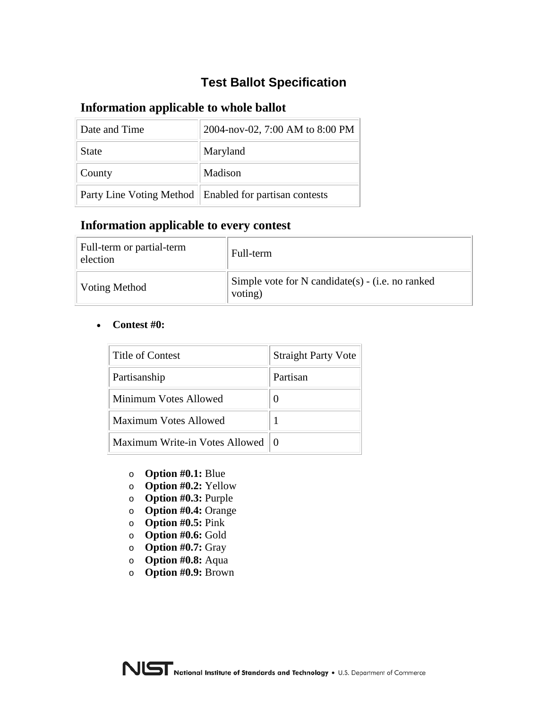# **Test Ballot Specification**

## **Information applicable to whole ballot**

| Date and Time | 2004-nov-02, 7:00 AM to 8:00 PM                          |
|---------------|----------------------------------------------------------|
| <b>State</b>  | Maryland                                                 |
| County        | Madison                                                  |
|               | Party Line Voting Method   Enabled for partisan contests |

## **Information applicable to every contest**

| Full-term or partial-term<br>election | Full-term                                                   |
|---------------------------------------|-------------------------------------------------------------|
| Voting Method                         | Simple vote for N candidate(s) - (i.e. no ranked<br>voting) |

#### • **Contest #0:**

| Title of Contest               | <b>Straight Party Vote</b> |
|--------------------------------|----------------------------|
| Partisanship                   | Partisan                   |
| Minimum Votes Allowed          |                            |
| <b>Maximum Votes Allowed</b>   |                            |
| Maximum Write-in Votes Allowed | $\theta$                   |

- o **Option #0.1:** Blue
- o **Option #0.2:** Yellow
- o **Option #0.3:** Purple
- o **Option #0.4:** Orange
- o **Option #0.5:** Pink
- o **Option #0.6:** Gold
- o **Option #0.7:** Gray
- o **Option #0.8:** Aqua
- o **Option #0.9:** Brown

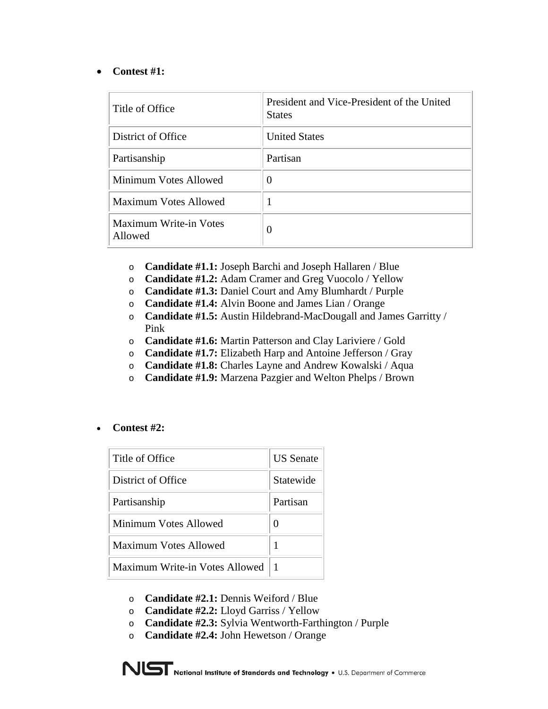#### • **Contest #1:**

| Title of Office                          | President and Vice-President of the United<br><b>States</b> |
|------------------------------------------|-------------------------------------------------------------|
| District of Office                       | <b>United States</b>                                        |
| Partisanship                             | Partisan                                                    |
| Minimum Votes Allowed                    | 0                                                           |
| Maximum Votes Allowed                    |                                                             |
| <b>Maximum Write-in Votes</b><br>Allowed | 0                                                           |

- o **Candidate #1.1:** Joseph Barchi and Joseph Hallaren / Blue
- o **Candidate #1.2:** Adam Cramer and Greg Vuocolo / Yellow
- o **Candidate #1.3:** Daniel Court and Amy Blumhardt / Purple
- o **Candidate #1.4:** Alvin Boone and James Lian / Orange
- o **Candidate #1.5:** Austin Hildebrand-MacDougall and James Garritty / Pink
- o **Candidate #1.6:** Martin Patterson and Clay Lariviere / Gold
- o **Candidate #1.7:** Elizabeth Harp and Antoine Jefferson / Gray
- o **Candidate #1.8:** Charles Layne and Andrew Kowalski / Aqua
- o **Candidate #1.9:** Marzena Pazgier and Welton Phelps / Brown
- **Contest #2:**

| Title of Office                | <b>US</b> Senate |
|--------------------------------|------------------|
| District of Office             | Statewide        |
| Partisanship                   | Partisan         |
| Minimum Votes Allowed          | 0                |
| Maximum Votes Allowed          | 1                |
| Maximum Write-in Votes Allowed |                  |

- o **Candidate #2.1:** Dennis Weiford / Blue
- o **Candidate #2.2:** Lloyd Garriss / Yellow
- o **Candidate #2.3:** Sylvia Wentworth-Farthington / Purple
- o **Candidate #2.4:** John Hewetson / Orange

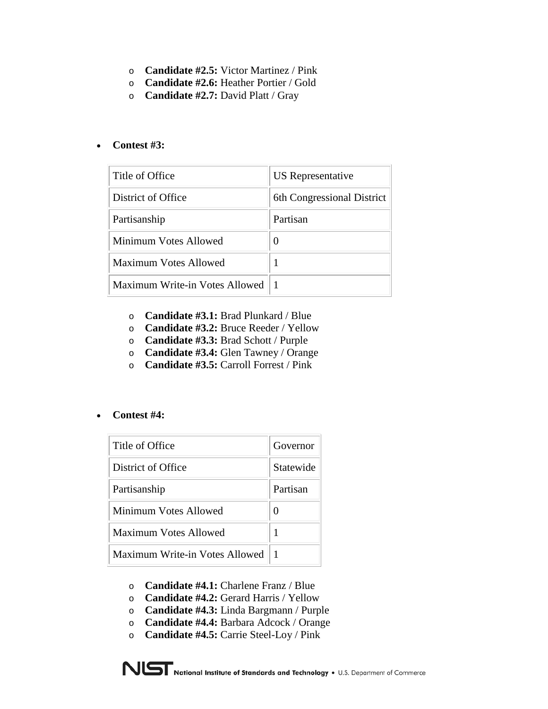- o **Candidate #2.5:** Victor Martinez / Pink
- o **Candidate #2.6:** Heather Portier / Gold
- o **Candidate #2.7:** David Platt / Gray

#### • **Contest #3:**

| Title of Office                | US Representative          |
|--------------------------------|----------------------------|
| District of Office             | 6th Congressional District |
| Partisanship                   | Partisan                   |
| Minimum Votes Allowed          | 0                          |
| <b>Maximum Votes Allowed</b>   |                            |
| Maximum Write-in Votes Allowed |                            |

- o **Candidate #3.1:** Brad Plunkard / Blue
- o **Candidate #3.2:** Bruce Reeder / Yellow
- o **Candidate #3.3:** Brad Schott / Purple
- o **Candidate #3.4:** Glen Tawney / Orange
- o **Candidate #3.5:** Carroll Forrest / Pink

#### • **Contest #4:**

| Title of Office                | Governor  |
|--------------------------------|-----------|
| District of Office             | Statewide |
| Partisanship                   | Partisan  |
| Minimum Votes Allowed          | 0         |
| Maximum Votes Allowed          | 1         |
| Maximum Write-in Votes Allowed |           |

- o **Candidate #4.1:** Charlene Franz / Blue
- o **Candidate #4.2:** Gerard Harris / Yellow
- o **Candidate #4.3:** Linda Bargmann / Purple
- o **Candidate #4.4:** Barbara Adcock / Orange
- o **Candidate #4.5:** Carrie Steel-Loy / Pink

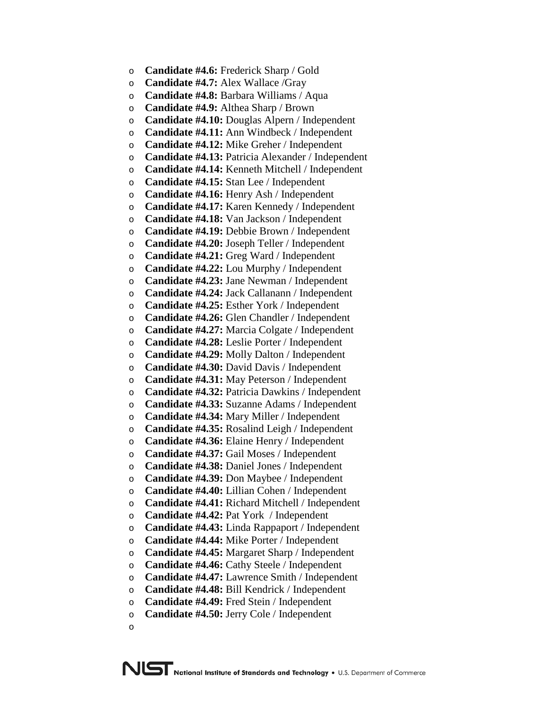- o **Candidate #4.6:** Frederick Sharp / Gold
- o **Candidate #4.7:** Alex Wallace /Gray
- o **Candidate #4.8:** Barbara Williams / Aqua
- o **Candidate #4.9:** Althea Sharp / Brown
- o **Candidate #4.10:** Douglas Alpern / Independent
- o **Candidate #4.11:** Ann Windbeck / Independent
- o **Candidate #4.12:** Mike Greher / Independent
- o **Candidate #4.13:** Patricia Alexander / Independent
- o **Candidate #4.14:** Kenneth Mitchell / Independent
- o **Candidate #4.15:** Stan Lee / Independent
- o **Candidate #4.16:** Henry Ash / Independent
- o **Candidate #4.17:** Karen Kennedy / Independent
- o **Candidate #4.18:** Van Jackson / Independent
- o **Candidate #4.19:** Debbie Brown / Independent
- o **Candidate #4.20:** Joseph Teller / Independent
- o **Candidate #4.21:** Greg Ward / Independent
- o **Candidate #4.22:** Lou Murphy / Independent
- o **Candidate #4.23:** Jane Newman / Independent
- o **Candidate #4.24:** Jack Callanann / Independent
- o **Candidate #4.25:** Esther York / Independent
- o **Candidate #4.26:** Glen Chandler / Independent
- o **Candidate #4.27:** Marcia Colgate / Independent
- o **Candidate #4.28:** Leslie Porter / Independent
- o **Candidate #4.29:** Molly Dalton / Independent
- o **Candidate #4.30:** David Davis / Independent
- o **Candidate #4.31:** May Peterson / Independent
- o **Candidate #4.32:** Patricia Dawkins / Independent
- o **Candidate #4.33:** Suzanne Adams / Independent
- o **Candidate #4.34:** Mary Miller / Independent
- o **Candidate #4.35:** Rosalind Leigh / Independent
- o **Candidate #4.36:** Elaine Henry / Independent
- o **Candidate #4.37:** Gail Moses / Independent
- o **Candidate #4.38:** Daniel Jones / Independent
- o **Candidate #4.39:** Don Maybee / Independent
- o **Candidate #4.40:** Lillian Cohen / Independent
- o **Candidate #4.41:** Richard Mitchell / Independent
- o **Candidate #4.42:** Pat York / Independent
- o **Candidate #4.43:** Linda Rappaport / Independent
- o **Candidate #4.44:** Mike Porter / Independent
- o **Candidate #4.45:** Margaret Sharp / Independent
- o **Candidate #4.46:** Cathy Steele / Independent
- o **Candidate #4.47:** Lawrence Smith / Independent
- o **Candidate #4.48:** Bill Kendrick / Independent
- o **Candidate #4.49:** Fred Stein / Independent
- o **Candidate #4.50:** Jerry Cole / Independent
- o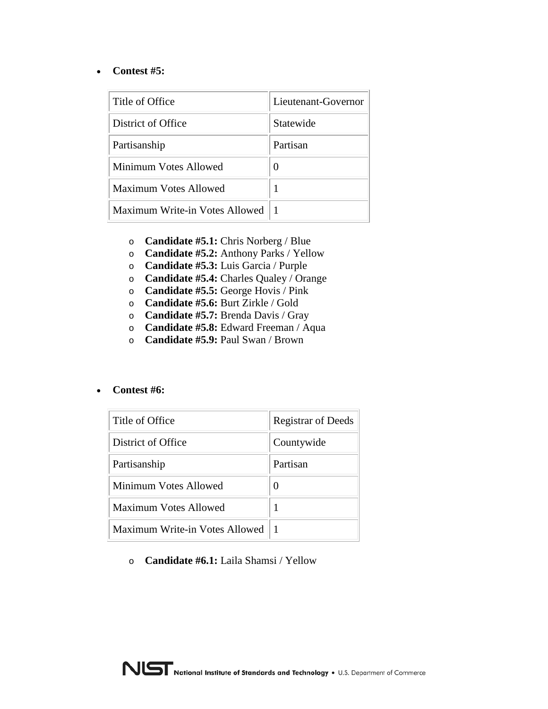#### • **Contest #5:**

| Title of Office                | Lieutenant-Governor |
|--------------------------------|---------------------|
| District of Office             | Statewide           |
| Partisanship                   | Partisan            |
| Minimum Votes Allowed          |                     |
| Maximum Votes Allowed          |                     |
| Maximum Write-in Votes Allowed |                     |

- o **Candidate #5.1:** Chris Norberg / Blue
- o **Candidate #5.2:** Anthony Parks / Yellow
- o **Candidate #5.3:** Luis Garcia / Purple
- o **Candidate #5.4:** Charles Qualey / Orange
- o **Candidate #5.5:** George Hovis / Pink
- o **Candidate #5.6:** Burt Zirkle / Gold
- o **Candidate #5.7:** Brenda Davis / Gray
- o **Candidate #5.8:** Edward Freeman / Aqua
- o **Candidate #5.9:** Paul Swan / Brown
- **Contest #6:**

| Title of Office                | <b>Registrar of Deeds</b> |
|--------------------------------|---------------------------|
| District of Office             | Countywide                |
| Partisanship                   | Partisan                  |
| Minimum Votes Allowed          |                           |
| Maximum Votes Allowed          |                           |
| Maximum Write-in Votes Allowed |                           |

o **Candidate #6.1:** Laila Shamsi / Yellow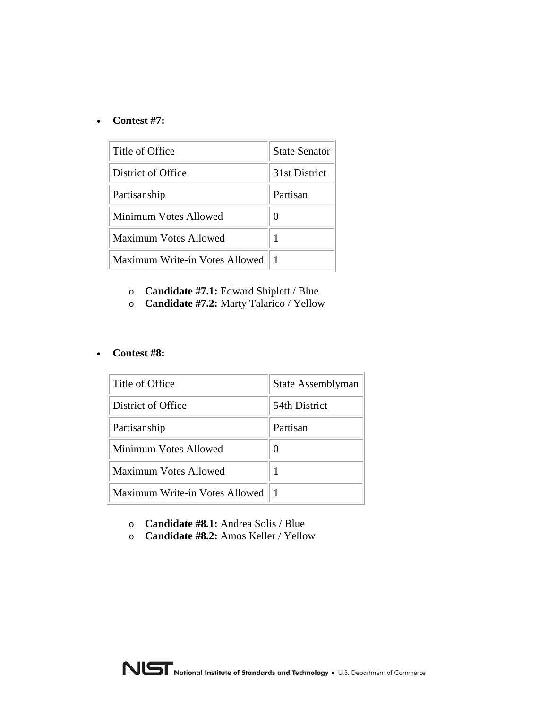#### • **Contest #7:**

| Title of Office                | <b>State Senator</b> |
|--------------------------------|----------------------|
| District of Office             | 31st District        |
| Partisanship                   | Partisan             |
| Minimum Votes Allowed          |                      |
| Maximum Votes Allowed          |                      |
| Maximum Write-in Votes Allowed |                      |

- o **Candidate #7.1:** Edward Shiplett / Blue
- o **Candidate #7.2:** Marty Talarico / Yellow

#### • **Contest #8:**

| Title of Office                | State Assemblyman |
|--------------------------------|-------------------|
| District of Office             | 54th District     |
| Partisanship                   | Partisan          |
| Minimum Votes Allowed          |                   |
| Maximum Votes Allowed          |                   |
| Maximum Write-in Votes Allowed |                   |

- o **Candidate #8.1:** Andrea Solis / Blue
- o **Candidate #8.2:** Amos Keller / Yellow

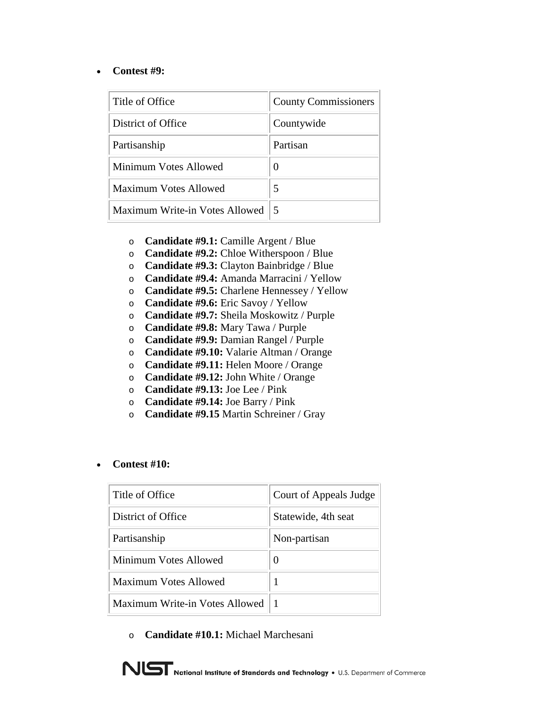#### • **Contest #9:**

| Title of Office                | <b>County Commissioners</b> |
|--------------------------------|-----------------------------|
| District of Office             | Countywide                  |
| Partisanship                   | Partisan                    |
| Minimum Votes Allowed          |                             |
| Maximum Votes Allowed          | 5                           |
| Maximum Write-in Votes Allowed | $\overline{\mathbf{5}}$     |

- o **Candidate #9.1:** Camille Argent / Blue
- o **Candidate #9.2:** Chloe Witherspoon / Blue
- o **Candidate #9.3:** Clayton Bainbridge / Blue
- o **Candidate #9.4:** Amanda Marracini / Yellow
- o **Candidate #9.5:** Charlene Hennessey / Yellow
- o **Candidate #9.6:** Eric Savoy / Yellow
- o **Candidate #9.7:** Sheila Moskowitz / Purple
- o **Candidate #9.8:** Mary Tawa / Purple
- o **Candidate #9.9:** Damian Rangel / Purple
- o **Candidate #9.10:** Valarie Altman / Orange
- o **Candidate #9.11:** Helen Moore / Orange
- o **Candidate #9.12:** John White / Orange
- o **Candidate #9.13:** Joe Lee / Pink
- o **Candidate #9.14:** Joe Barry / Pink
- o **Candidate #9.15** Martin Schreiner / Gray

#### • **Contest #10:**

| Title of Office                | Court of Appeals Judge |
|--------------------------------|------------------------|
| District of Office             | Statewide, 4th seat    |
| Partisanship                   | Non-partisan           |
| Minimum Votes Allowed          | $\mathbf{\Omega}$      |
| Maximum Votes Allowed          |                        |
| Maximum Write-in Votes Allowed |                        |

o **Candidate #10.1:** Michael Marchesani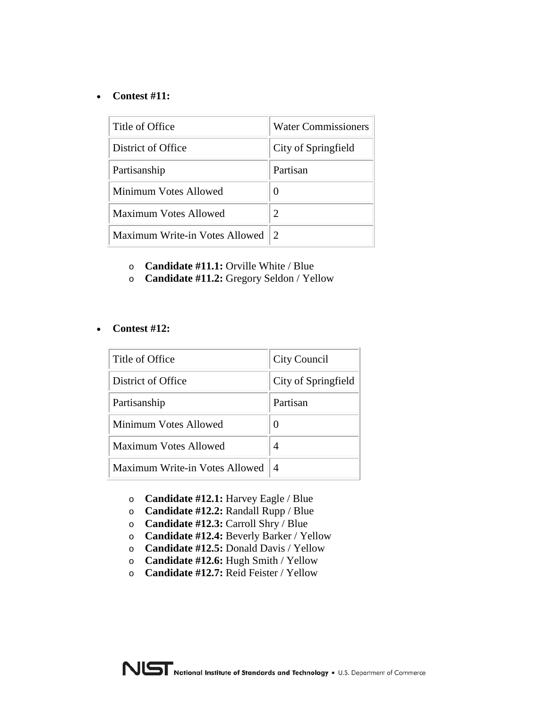#### • **Contest #11:**

| Title of Office                | <b>Water Commissioners</b> |  |
|--------------------------------|----------------------------|--|
| District of Office             | City of Springfield        |  |
| Partisanship                   | Partisan                   |  |
| Minimum Votes Allowed          |                            |  |
| Maximum Votes Allowed          | 2                          |  |
| Maximum Write-in Votes Allowed |                            |  |

- o **Candidate #11.1:** Orville White / Blue
- o **Candidate #11.2:** Gregory Seldon / Yellow

#### • **Contest #12:**

| Title of Office                | City Council        |
|--------------------------------|---------------------|
| District of Office             | City of Springfield |
| Partisanship                   | Partisan            |
| Minimum Votes Allowed          | $\mathbf{\Omega}$   |
| Maximum Votes Allowed          | 4                   |
| Maximum Write-in Votes Allowed | 4                   |

- o **Candidate #12.1:** Harvey Eagle / Blue
- o **Candidate #12.2:** Randall Rupp / Blue
- o **Candidate #12.3:** Carroll Shry / Blue
- o **Candidate #12.4:** Beverly Barker / Yellow
- o **Candidate #12.5:** Donald Davis / Yellow
- o **Candidate #12.6:** Hugh Smith / Yellow
- o **Candidate #12.7:** Reid Feister / Yellow

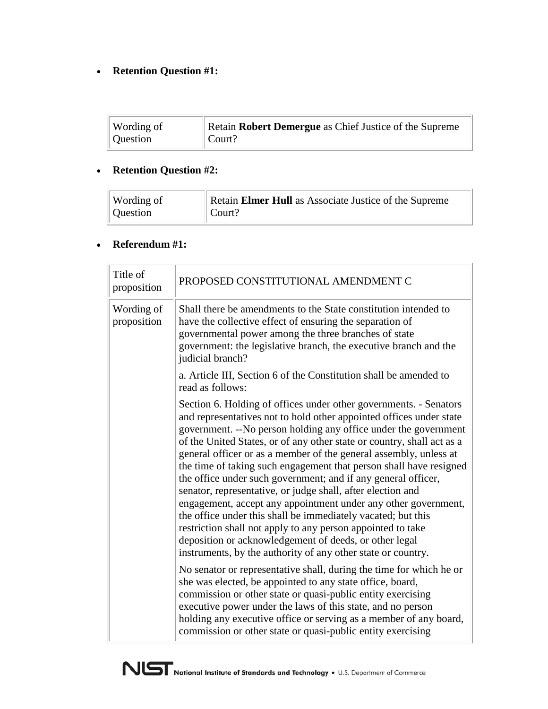## • **Retention Question #1:**

| Wording of | Retain Robert Demergue as Chief Justice of the Supreme |
|------------|--------------------------------------------------------|
| Question   | $\vert$ Court?                                         |

## • **Retention Question #2:**

| Wording of | Retain Elmer Hull as Associate Justice of the Supreme |
|------------|-------------------------------------------------------|
| Question   | $\vert$ Court?                                        |

## • **Referendum #1:**

| Title of<br>proposition   | PROPOSED CONSTITUTIONAL AMENDMENT C                                                                                                                                                                                                                                                                                                                                                                                                                                                                                                                                                                                                                                                                                                                                                                                                                                                          |
|---------------------------|----------------------------------------------------------------------------------------------------------------------------------------------------------------------------------------------------------------------------------------------------------------------------------------------------------------------------------------------------------------------------------------------------------------------------------------------------------------------------------------------------------------------------------------------------------------------------------------------------------------------------------------------------------------------------------------------------------------------------------------------------------------------------------------------------------------------------------------------------------------------------------------------|
| Wording of<br>proposition | Shall there be amendments to the State constitution intended to<br>have the collective effect of ensuring the separation of<br>governmental power among the three branches of state<br>government: the legislative branch, the executive branch and the<br>judicial branch?                                                                                                                                                                                                                                                                                                                                                                                                                                                                                                                                                                                                                  |
|                           | a. Article III, Section 6 of the Constitution shall be amended to<br>read as follows:                                                                                                                                                                                                                                                                                                                                                                                                                                                                                                                                                                                                                                                                                                                                                                                                        |
|                           | Section 6. Holding of offices under other governments. - Senators<br>and representatives not to hold other appointed offices under state<br>government. -- No person holding any office under the government<br>of the United States, or of any other state or country, shall act as a<br>general officer or as a member of the general assembly, unless at<br>the time of taking such engagement that person shall have resigned<br>the office under such government; and if any general officer,<br>senator, representative, or judge shall, after election and<br>engagement, accept any appointment under any other government,<br>the office under this shall be immediately vacated; but this<br>restriction shall not apply to any person appointed to take<br>deposition or acknowledgement of deeds, or other legal<br>instruments, by the authority of any other state or country. |
|                           | No senator or representative shall, during the time for which he or<br>she was elected, be appointed to any state office, board,<br>commission or other state or quasi-public entity exercising<br>executive power under the laws of this state, and no person<br>holding any executive office or serving as a member of any board,<br>commission or other state or quasi-public entity exercising                                                                                                                                                                                                                                                                                                                                                                                                                                                                                           |

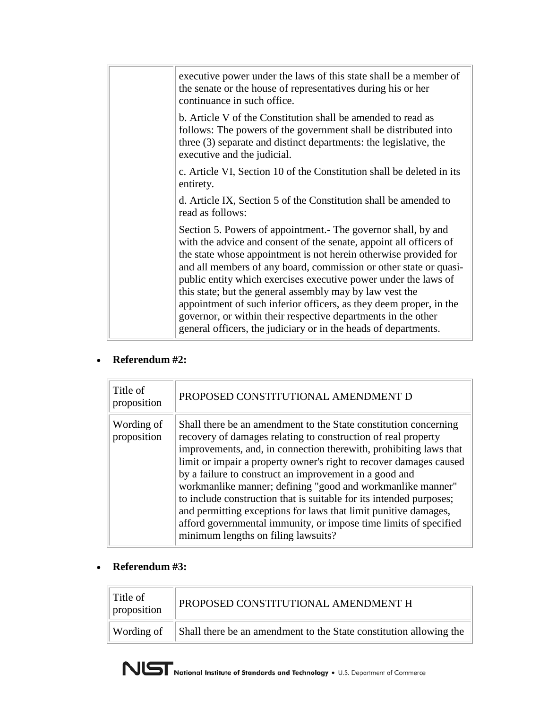| executive power under the laws of this state shall be a member of<br>the senate or the house of representatives during his or her<br>continuance in such office.                                                                                                                                                                                                                                                                                                                                                                                                                                                     |
|----------------------------------------------------------------------------------------------------------------------------------------------------------------------------------------------------------------------------------------------------------------------------------------------------------------------------------------------------------------------------------------------------------------------------------------------------------------------------------------------------------------------------------------------------------------------------------------------------------------------|
| b. Article V of the Constitution shall be amended to read as<br>follows: The powers of the government shall be distributed into<br>three (3) separate and distinct departments: the legislative, the<br>executive and the judicial.                                                                                                                                                                                                                                                                                                                                                                                  |
| c. Article VI, Section 10 of the Constitution shall be deleted in its<br>entirety.                                                                                                                                                                                                                                                                                                                                                                                                                                                                                                                                   |
| d. Article IX, Section 5 of the Constitution shall be amended to<br>read as follows:                                                                                                                                                                                                                                                                                                                                                                                                                                                                                                                                 |
| Section 5. Powers of appointment. The governor shall, by and<br>with the advice and consent of the senate, appoint all officers of<br>the state whose appointment is not herein otherwise provided for<br>and all members of any board, commission or other state or quasi-<br>public entity which exercises executive power under the laws of<br>this state; but the general assembly may by law vest the<br>appointment of such inferior officers, as they deem proper, in the<br>governor, or within their respective departments in the other<br>general officers, the judiciary or in the heads of departments. |
|                                                                                                                                                                                                                                                                                                                                                                                                                                                                                                                                                                                                                      |

## • **Referendum #2:**

| Title of<br>proposition   | PROPOSED CONSTITUTIONAL AMENDMENT D                                                                                                                                                                                                                                                                                                                                                                                                                                                                                                                                                                                                                       |
|---------------------------|-----------------------------------------------------------------------------------------------------------------------------------------------------------------------------------------------------------------------------------------------------------------------------------------------------------------------------------------------------------------------------------------------------------------------------------------------------------------------------------------------------------------------------------------------------------------------------------------------------------------------------------------------------------|
| Wording of<br>proposition | Shall there be an amendment to the State constitution concerning<br>recovery of damages relating to construction of real property<br>improvements, and, in connection therewith, prohibiting laws that<br>limit or impair a property owner's right to recover damages caused<br>by a failure to construct an improvement in a good and<br>workmanlike manner; defining "good and workmanlike manner"<br>to include construction that is suitable for its intended purposes;<br>and permitting exceptions for laws that limit punitive damages,<br>afford governmental immunity, or impose time limits of specified<br>minimum lengths on filing lawsuits? |

## • **Referendum #3:**

| Title of<br>proposition | PROPOSED CONSTITUTIONAL AMENDMENT H                                |
|-------------------------|--------------------------------------------------------------------|
| Wording of              | Shall there be an amendment to the State constitution allowing the |

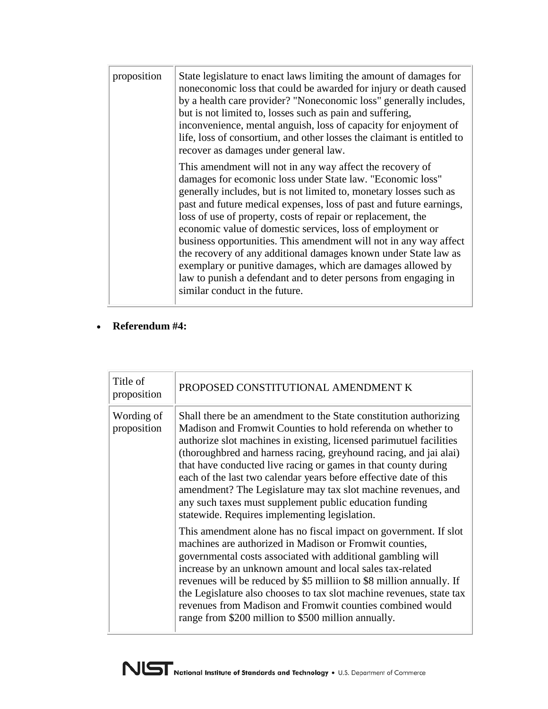| proposition | State legislature to enact laws limiting the amount of damages for<br>noneconomic loss that could be awarded for injury or death caused<br>by a health care provider? "Noneconomic loss" generally includes,<br>but is not limited to, losses such as pain and suffering,<br>inconvenience, mental anguish, loss of capacity for enjoyment of<br>life, loss of consortium, and other losses the claimant is entitled to<br>recover as damages under general law.                                                                                                                                                                                                                                               |
|-------------|----------------------------------------------------------------------------------------------------------------------------------------------------------------------------------------------------------------------------------------------------------------------------------------------------------------------------------------------------------------------------------------------------------------------------------------------------------------------------------------------------------------------------------------------------------------------------------------------------------------------------------------------------------------------------------------------------------------|
|             | This amendment will not in any way affect the recovery of<br>damages for ecomonic loss under State law. "Economic loss"<br>generally includes, but is not limited to, monetary losses such as<br>past and future medical expenses, loss of past and future earnings,<br>loss of use of property, costs of repair or replacement, the<br>economic value of domestic services, loss of employment or<br>business opportunities. This amendment will not in any way affect<br>the recovery of any additional damages known under State law as<br>exemplary or punitive damages, which are damages allowed by<br>law to punish a defendant and to deter persons from engaging in<br>similar conduct in the future. |

## • **Referendum #4:**

| Title of<br>proposition   | PROPOSED CONSTITUTIONAL AMENDMENT K                                                                                                                                                                                                                                                                                                                                                                                                                                                                                                                                                                                                                                                                                                                                                                                                                                                                                                                                                                                                                                                                                             |
|---------------------------|---------------------------------------------------------------------------------------------------------------------------------------------------------------------------------------------------------------------------------------------------------------------------------------------------------------------------------------------------------------------------------------------------------------------------------------------------------------------------------------------------------------------------------------------------------------------------------------------------------------------------------------------------------------------------------------------------------------------------------------------------------------------------------------------------------------------------------------------------------------------------------------------------------------------------------------------------------------------------------------------------------------------------------------------------------------------------------------------------------------------------------|
| Wording of<br>proposition | Shall there be an amendment to the State constitution authorizing<br>Madison and Fromwit Counties to hold referenda on whether to<br>authorize slot machines in existing, licensed parimutuel facilities<br>(thoroughbred and harness racing, greyhound racing, and jai alai)<br>that have conducted live racing or games in that county during<br>each of the last two calendar years before effective date of this<br>amendment? The Legislature may tax slot machine revenues, and<br>any such taxes must supplement public education funding<br>statewide. Requires implementing legislation.<br>This amendment alone has no fiscal impact on government. If slot<br>machines are authorized in Madison or Fromwit counties,<br>governmental costs associated with additional gambling will<br>increase by an unknown amount and local sales tax-related<br>revenues will be reduced by \$5 million to \$8 million annually. If<br>the Legislature also chooses to tax slot machine revenues, state tax<br>revenues from Madison and Fromwit counties combined would<br>range from \$200 million to \$500 million annually. |